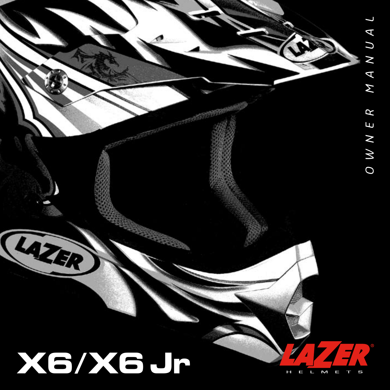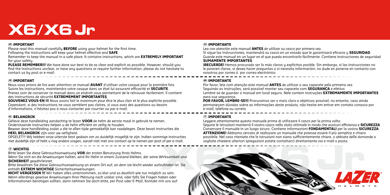# **X6/X6 Jr**

#### **UK IMPORTANT**

Please read this manual carefully **BEFORE** using your helmet for the first time.

Following the instructions will keep your helmet effective and **SAFE**.

Remember to keep the manual in a safe place. It contains instructions, which are **EXTREMELY IMPORTANT** for your safety.

**PLEASE REMEMBER!!!** We have done our best to be as clear and explicit as possible. However, should you find the instructions unclear, or have any questions or require further information, please do not hesitate to contact us by post or e-mail.

#### **FR IMPORTANT**

Nous vous prions de lire avec attention ce manuel **AVANT** d'utiliser votre casque pour la première fois. Suivre les instructions, maintiendra votre casque dans un état lui assurant efficacité et **SECURITE**. Prenez soin de conserver ce manuel dans un endroit vous permettant de le retrouver facilement. Il contient des instructions de sécurité **EXTREMEMENT IMPORTANTES**.

**SOUVENEZ VOUS-EN !!!** Nous avons fait le maximum pour être le plus clair et le plus explicite possible. Cependant, si des instructions ne vous semblent pas claires, si vous avez des questions ou besoin d'informations, n'hésitez pas à nous contacter par courrier ou par e-mail.

## **NL BELANGRIJK**

Gelieve deze handleiding aandachtig te lezen **VOOR** de helm de eerste maal in gebruik te nemen. Onderstaande instructies helpen u de helm efficiënt en veilig te houden.

Bewaar deze handleiding zodat u die te allen tijde gemakkelijk kan raadplegen. Deze bevat instructies die **HEEL BELANGRIJK** zijn voor uw veiligheid.

OPGELET!!! Wij hebben onze uiterste best gedaan om zo duidelijk mogelijk te zijn. Indien sommige instructies niet duidelijk zijn of hebt u nog andere vragen, aarzel niet met ons contact op te nemen per post of per e-mail.

## **D WICHTIG**

Bitte lesen Sie diese Gebrauchsanweisung **VOR** der ersten Benutzung Ihres Helms.

Wenn Sie sich an die Anweisungen halten, wird Ihr Helm in einem Zustand bleiben, der seine Wirksamkeit und **SICHERHEIT** gewährleistet.

Bitte bewahren Sie diese Gebrauchsanweisung an einem Ort auf, an dem sie leicht wieder aufzufinden ist. Sie enthält **EXTREM WICHTIGE** Sicherheitsanweisungen.

**NICHT VERGESSEN !!!** Wir haben alles unternommen, so klar und so deutlich wie nur möglich zu sein. Wenn allerdings gewisse Anweisungen Ihrer Meinung nach unklar sind, oder falls Sie Fragen haben oder Informationen benötigen sollten, dann nehmen Sie doch bitte, per Post oder E-Mail, Kontakt mit uns auf.

#### **ES IMPORTANTE**

Lea con atención este manual **ANTES** de utilizar su casco por primera vez.

Si sigue las instrucciones, mantendrá su casco en un estado que le garantizará eficacia y **SEGURIDAD**. Guarde este manual en un lugar en el que pueda encontrarlo fácilmente. Contiene instrucciones de seguridad **SUMAMENTE IMPORTANTES**.

**¡RECUERDE!** Hemos procurado ser lo más claros y explícitos posible. Sin embargo, si las instrucciones no le parecen claras, si desea hacer preguntas o si necesita información, no dude en ponerse en contacto con nosotros por correo ó por correo electrónico.

#### **BR IMPORTANTE**

Por favor, leia com atenção este manual **ANTES** de utilizar o seu capacete pela primeira vez. Seguindo as instruções, será possível manter seu capacete com **SEGURANÇA** e efetivo. Lembre-se de guardar o manual em local seguro. Nele contem instruções **EXTREMAMENTE IMPORTANTES** para sua segurança.

**POR FAVOR, LEMBRE-SE!!!** Procuramos ser o mais claro e objetivos possível, no entanto, caso ainda permaneçam dúvidas sobre as informações deste produto, não hesite em entrar em contato conosco por e-mail, telefone ou correio.

## **IT IMPORTANTE**

Leggere attentamente questo manuale prima di utilizzare il casco per la prima volta. Seguire le istruzioni manterrà il vostro casco nello stato ottimale in modo che assicuri efficienza e **SICUREZZA** Conservare il manuale in un luogo sicuro. Contiene informazioni **FONDAMENTALI** per la vostra **SICUREZZA**. **ATTENZIONE!** Abbiamo cercato di realizzare un manuale che potesse essere il più semplice e chiaro possibile. Nel caso riteniate che le istruzioni non siano sufficientemente chiare, o abbiate delle domande o vogliate chiedere ulteriori spiegazioni potete contattarci direttamente via e-mail o posta.

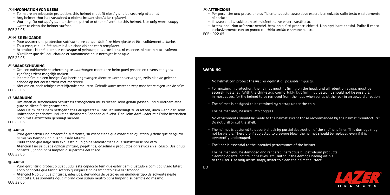#### **UK INFORMATION FOR USERS**

- To insure an adequate protection, this helmet must fit closely and be securely attached.
- Any helmet that has sustained a violent impact should be replaced.
- Warning! Do not apply paint, stickers, petrol or other solvents to this helmet. Use only warm soapy water to clean the helmet surface

#### ECE 22.05

#### **FR MISE EN GARDE**

- Pour assurer une protection suffisante, ce casque doit être bien ajusté et être solidement attaché.
- Tout casque qui a été soumis à un choc violent est à remplacer.
- Attention : N'appliquer sur ce casque ni peinture, ni autocollant, ni essence, ni aucun autre solvant. N'utilisez que de l'eau chaude et savonneuse pour nettoyer le casque.

#### ECE 22.05

#### **NL WAARSCHUWING**

- Om een voldoende bescherming te waarborgen moet deze helm goed passen en tevens een goed zijdelings zicht mogelijk maken.
- Iedere helm die een hevige klap heeft opgevangen dient te worden vervangen, zelfs al is de geleden schade op het eerste zicht niet merkbaar.
- Niet verven, noch reinigen met bijtende producten. Gebruik warm water en zeep voor het reinigen van de helm. ECE 22.05

#### **D WARNUNG**

- Um einen ausreichenden Schutz zu ermöglichen muss dieser Helm genau passen und außerdem eine gute seitliche Sicht garantieren.
- Jeder Helm, der einem heftigen Stoss ausgesetzt wurde, ist unbedingt zu ersetzen, auch wenn der Helm unbeschädigt scheint und keine sichtbaren Schäden aufweist. Der Helm darf weder mit Farbe bestrichen noch mit Beizmitteln gereinigt werden.

#### ECE 22.05

#### **ES AVISO**

- Para garantizar una protección suficiente, su casco tiene que estar bien ajustado y tiene que asegurar al mismo tiempo una buena visión lateral.
- Cada casco que haya sido expuesto a un golpe violento tiene que substituirse por otro.
- Atención ! no se puede aplicar pintura, pegatinas, gasolina o productos agresivos en el casco. Use agua caliente y jabón para limpiar la superficie del casco

#### ECE 22.05

#### **BR AVISO**

- Para garantir a proteção adequada, este capacete tem que estar bem ajustado e com boa visão lateral.
- Todo capacete que tenha sofrido qualquer tipo de impacto deve ser trocado.
- Atenção! Não aplique pinturas, adesivos, derivados de petróleo ou qualquer tipo de solvente neste capacete. Use somente água morna com sabão neutro para limpar a superfície do mesmo. ECE 22.05

#### **IT ATTENZIONE**

- Per garantire una protezione sufficiente, questo casco deve essere ben calzato sulla testa e saldamente allacciato.
- Il casco che ha subito un urto violento deve essere sostituito.
- Attenzione! Non utilizzare vernici, benzina o altri prodotti chimici. Non applicare adesivi. Pulire il casco esclusivamente con un panno morbido umido e sapone neutro.

ECE - R22.05

#### **WARNING**

- No helmet can protect the wearer against all possible impacts.
- For maximum protection, the helmet must fit firmly on the head, and all retention straps must be securely fastened. With the chin-strap comfortably but firmly adjusted, it should not be possible, in most cases, for the helmet to be removed from the head when pulled at the rear in an upward direction.
- The helmet is designed to be retained by a strap under the chin.
- The helmet may be used with goggles.
- No attachments should be made to the helmet except those recommended by the helmet manufacturer. Do not drill or cut the shell.
- The helmet is designed to absorb shock by partial destruction of the shell and liner. This damage may not be visible. Therefore if subjected to a severe blow, the helmet should be replaced even if it is apparently undamaged.
- The liner is essential to the intended performance of the helmet.
- The helmet may be damaged and rendered ineffective by petroleum products, cleaning agents, paints, adhesives, etc., without the damage beeing visible to the user. Use only warm soapy water to clean the helmet surface.

DOT

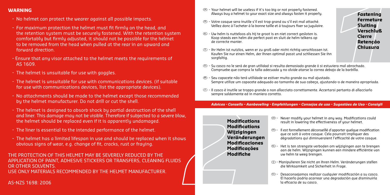## **WARNING**

- No helmet can protect the wearer against all possible impacts.
- For maximum protection the helmet must fit firmly on the head, and the retention system must be securely fastened. With the retention system comfortably but firmly adjusted, it should not be possible for the helmet to be removed from the head when pulled at the rear in an upward and forward direction.
- Ensure that any visor attached to the helmet meets the requirements of AS 1609.
- The helmet is unsuitable for use with goggles.
- The helmet is unsuitable for use with communications devices. (if suitable for use with communications devices, list the appropriate devices).
- No attachments should be made to the helmet except those recommended by the helmet manufacturer. Do not drill or cut the shell.
- The helmet is designed to absorb shock by partial destruction of the shell and liner. This damage may not be visible. Therefore if subjected to a severe blow, the helmet should be replaced even if it is apparently undamaged.
- The liner is essential to the intended performance of the helmet.
- The helmet has a limited lifespan in use and should be replaced when it shows obvious signs of wear, e.g. change of fit, cracks, rust or fraying.

## THE PROTECTION OF THIS HELMET MAY BE SEVERELY REDUCED BY THE APPLICATION OF PAINT, ADHESIVE STICKERS OR TRANSFERS, CLEANING FLUIDS OR OTHER SOLVENTS. USE ONLY MATERIALS RECOMMENDED BY THE HELMET MANUFACTURER.

- $\circledR$  Your helmet will be useless if it's too big or not properly fastened. Always buy a helmet to your exact size and always fasten it properly.
- FR Votre casque sera inutile s'il est trop grand ou s'il est mal attaché. Veillez donc à l'acheter à la bonne taille et à toujours fixer sa jugulaire.
- $\circledR$  Uw helm is nutteloos als hij te groot is en niet correct gesloten is. Koop steeds een helm die perfect past en sluit de helm telkens op de correcte manier.
- <sup>D</sup> Ihr Helm ist nutzlos, wenn er zu groß oder nicht richtig verschlossen ist. Kaufen Sie nur einen Helm, der Ihnen optimal passt und schliessen Sie ihn sorafaltia.
- ES Su casco no le será de gran utilidad si resulta demasiado grande ó si estuviera mal abrochado. Compruebe que compra la talla adecuada y no olvide atarse la correa debajo de la barbilla.
- BR Seu capacete não terá utilidade se estiver muito grande ou mal ajustado. Sempre utilize um capacete adequado ao tamanho de sua cabeça, ajustando-o de maneira apropriada.
- $\circled{1}$  Il casco è inutile se troppo grande o non allacciato correttamente. Accertarsi pertanto di allacciarlo sempre saldamente ed in maniera corretto.

*Advices - Conseils – Aanbeveling - Empfehlungen – Consejos de uso - Sugestões de Uso - Consigli*

**Modifications Modifications Wijzigingen Veränderungen Modificaciones Modificações Modifiche**

- UK Never modify your helmet in any way. Modifications could result in lowering the effectiveness of your helmet.
- FR Il est formellement déconseillé d'apporter quelque modification que ce soit à votre casque. Cela pourrait impliquer des dégradations qui diminueraient l'efficacité de votre casque.
- NL Het is ten strengste verboden om wijzigingen aan te brengen aan de helm. Wijzigingen kunnen een mindere efficiëntie van uw helm te weeg brengen.
- <sup>D</sup> Manipulieren Sie nicht an Ihren Helm. Veränderungen stellen die Wirksamkeit und Sicherheit in Frage.
- ES Desaconsejamos realizar cualquier modificación a su casco. El hacerlo podría acarrear una degradación que disminuiría la eficacia de su casco.

**Fastening Fermeture Sluiting Verschluß Cierre Retenção Chiusura**

AS-NZS 1698: 2006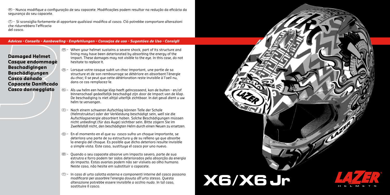$\circledast$  - Nunca modifiaue a configuração de seu capacete. Modificações podem resultar na redução da eficácia da segurança do seu capacete.

 $\circled{1}$  - Si sconsiglia fortemente di apportare qualsiasi modifica al casco. Ciò potrebbe comportare alterazioni che ridurrebbero l'efficacia del casco.

#### *Advices - Conseils – Aanbeveling - Empfehlungen – Consejos de uso - Sugestões de Uso - Consigli*

**Damaged Helmet Casque endommagé Beschadigingen Beschädigungen Casco dañado Capacete Danificado Casco danneggiato**

- $\circledR$  When your helmet sustains a severe shock, part of its structure and lining may have been deteriorated by absorbing the energy of the impact. These damages may not visible to the eye. In this case, do not hesitate to replace it.
- $\circledR$  Lorsaue votre casque subit un choc important, une partie de sa structure et de son rembourrage se détériore en absorbant l'énergie du choc; il se peut que cette détérioration reste invisible à l'oeil nu, dans ce cas remplacez-le.
- NL Als uw helm een hevige klap heeft geïncasseerd, kan de buiten en/of binnenschaal gedeeltelijk beschadigd zijn door de impact van de klap. De beschadiging is niet altijd uiterlijk zichtbaar. In dat geval dient u uw helm te vervangen.
- <sup>D</sup> Nach einem schweren Aufschlag können Teile der Schale (Helmstruktur) oder der Verkleidung beschädigt sein, weil sie die Aufschlagsenergie absorbiert haben. Solche Beschädigungen müssen nicht unbedingt (für das Auge) sichtbar sein. Bitte zögern Sie im Zweifelsfall nicht, den beschädigten Helm durch einen Neuen zu ersetzen.
- ES En el momento en el que su casco sufra un choque importante, se deteriora una parte de su estructura y de su relleno ya que absorbe la energía del choque. Es posible que dicho deterioro resulte invisible a simple vista. Este caso, sustituya el casco por uno nuevo.
- BR Quando o seu capacete absorve um impacto severo, parte de sua estrutra e forro podem ter sidos deteriorados pela absorção da energia do impacto. Estas avarias podem não ser visíveis ao olho humano. Neste caso, não hesite em substituir o capacete.
- $\circ$  In caso di urto calotta esterna e componenti interne del casco possono modificarsi per assorbire l'energia dovuta all'urto stesso. Questa alterazione potrebbe essere invisibile a occhio nudo. In tal caso, sostituire il casco.

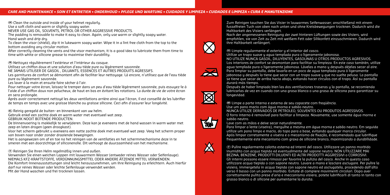#### *CARE AND MAINTENANCE • SOIN ET ENTRETIEN • ONDERHOUD • PFLEGE UND WARTUNG • CUIDADOS Y LIMPIEZA • CUIDADOS E LIMPEZA • CURA E MANUTENZIONE*

**UK** Clean the outside and inside of your helmet regularly. Use a soft cloth and warm or slightly soapy water.

NEVER USE GAS OIL, SOLVENTS, PETROL OR OTHER AGGRESSIVE PRODUCTS.

The padding is removable to make it easy to clean. Again, only use warm or slightly soapy water. Hand wash and drip dry.

To clean the visor (shield), dip it in lukewarm soapy water. Wipe it in a lint free cloth from the top to the bottom avoiding any circular motion.

After correctly cleaning the vents and the visor mechanism, it is a good idea to lubricate them from time to time with white or silicone grease to maximise their durability.

**FR** Nettoyez régulièrement l'extérieur et l'intérieur du casque.

Utilisez un chiffon doux et une solution d'eau tiède pure ou légèrement savonnée.

NE JAMAIS UTILISER DE GASOIL , DILUANTS, ESSENCES ET AUTRES PRODUITS AGRESSIFS.

Les garnitures de confort se démontent afin de faciliter leur nettoyage. Là encore, n'utilisez que de l'eau tiède pure ou légèrement savonnée.

Les laver à la main et ensuite faire sécher à l'air.

Pour nettoyer votre écran, laissez-le tremper dans un peu d'eau tiède légèrement savonnée, puis essuyez-le à l'aide d'un chiffon doux non pelucheux, de haut en bas en évitant les rotations. La durée de vie de votre écran en sera prolongée.

Après quoir correctement nettoué les deux ventilations arrière ainsi que l'écran, il est conseillé de les lubrifier de temps en temps avec une graisse blanche ou graisse silicone. Ceci afin d'assurer leur longévité.

**NL** Reinig geregeld de buiten- en binnenkant van uw helm.

Gebruik enkel een zachte doek en warm water met eventueel wat zeep. GEBRUIK NOOIT BIJTENDE PRODUCTEN.

De binnenvoering is makkelijk te verwijderen. Deze kan je eveneens met de hand wassen in warm water met zeep en laten drogen (geen droogkast).

Voor het scherm gebruikt u eveneens een natte zachte doek met eventueel wat zeep. Veeg het scherm proper van boven naar onder zonder draaiende bewegingen.

Het is aangewezen om af en toe na het reinigen van de ventilaties en het schermmechanisme deze in te smeren met een doorzichtige of siliconenolie. Dit verhoogt de duurzaamheid van het mechanisme.

**<sup>D</sup>** Reinigen Sie Ihren Helm regelmäßig innen und außen.

Verwenden Sie einen weichen Lappen mit lauwarmem Wasser (entweder reines Wasser oder Seifenlauge). NIEMALS KFZ-KRAFTSTOFFE, VERDÜNNUNGSMITTEL ODER ANDERE ÄTZENDE MITTEL VERWENDEN. Die Komfort-Innenausstattungen sind leicht herauszunehmen, um ihre Reinigung zu erleichtern. Auch hierfür darf nur reines Wasser oder leichte Seifenlauge verwendet werden.

Mit der Hand waschen und frei trocknen lassen.

Zum Reinigen tauchen Sie das Visier in lauwarmes Seifenwasser; anschließend mit einem fusselfreien Tuch von oben nach unten und ohne Kreisbewegungen trocknen. Dadurch wird die Haltbarkeit des Visiers verlängert.

Nach der angemessenen Reinigung der zwei hinteren Lüftungen sowie des Visiers, wird empfohlen, sie von Zeit zu Zeit mit weißem Fett oder Silikonfett einzuschmieren. Dadurch wird ihre Haltbarkeit verlängert.

**ES** Limpie regularmente el exterior y el interior del casco.

Utilize un trapo suave y agua templada pura o ligeramente jabonosa. NO UTILIZE NUNCA GASOIL, DILUYENTES, GASOLINAS U OTROS PRODUCTOS AGRESIVOS. Los interiores de confort se desmontan para facilitar su limpieza. En este caso también, utilize agua templada pura o ligeramente jabonosa. Lávelas a mano y después déjelas secar al aire. Para limpiar su pantalla, debe lavarla en un poco de agua templada pura ó ligeramente jabonosa y después la tiene que secar con un trapo suave y que no suelte pelusa. La pantalla se tiene que secar de arriba hacia abajo, evitando hacer círculos con el trapo. Así su pantalla durará más tiempo.

Después de haber limpiado bien las dos ventilaciones traseras y la pantalla, se recomienda lubricarlas de vez en cuando con una grasa blanca o una grasa de silicona para garantizar su longevidad.

#### **BR** Limpe a parte interna e externa de seu capacete com frequência. Use um pano macio com água morna e sabão neutro. NUNCA UTILIZE DERIVADOS DE PETROLEO, SOLVENTES OU PRODUTOS AGRESSIVOS. O forro interno é removível para facilitar a limpeza. Novamente, use somente água morna e sabão neutro.

Lave com as mãos e deixe secar naturalmente.

Para limpar a lente (viseira), mergulhe a mesma em água morna e sabão neutro. Em seguida utilize um pano limpo e macio, do topo para a base, evitando qualquer marca circular. Após limpar corretamente a viseira e o mecanismo de fixação, é recomendado que lubrifique frequentemente este mecanismo com graxa de silicone branco, maximizando a durabilidade.



 $\boxtimes$ 

**FANT** 

**IT** Pulire regolarmente calotta esterna ed interni del casco. Utilizzare un panno morbido inumidito con acqua tiepida ed eventualmente del sapone neutro. NON UTILIZZARE MAI BEZINA, BENZENE, PRODOTTI DILUENTI ED ALTRI PRODOTTI AGGRESSIVI o CORROSIVI. Gli interni possono essere rimossi per favorire la pulizia del casco. Anche in questo caso utilizzare acqua tiepida o con sapone neutro. Lavare a mano e lasciare asciugare. Per pulire la visiera, immergetela in acqua tiepida con sapone neutro ed asciugatela, procedendo dall'alto verso il basso con un panno morbido. Evitate di compiere movimenti circolari. Dopo aver correttamente pulito prese d'aria e meccanismo visiera, potete lubrificarli di tanto in tanto con grasso bianco o di silicone per aumentarne la durata.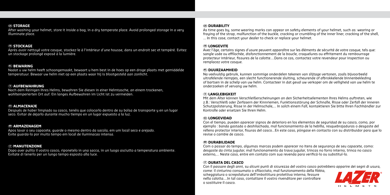#### **UK STORAGE**

After washing your helmet, store it inside a bag, in a dry temperate place. Avoid prolonged storage in a very illuminate place.

#### **FR STOCKAGE**

Après avoir nettoyé votre casque, stockez-le à l'intérieur d'une housse, dans un endroit sec et tempéré. Evitez un stockage prolongé exposé à la lumière.

#### **NL BEWARING**

Nadat u uw helm heeft schoongemaakt, bewaart u hem best in de hoes op een droge plaats met gemiddelde temperatuur. Bewaar uw helm niet op een plaats waar hij is blootgesteld aan zonlicht.

#### **<sup>D</sup> AUFBEWAHRUNG**

Nach dem Reinigen Ihres Helms, bewahren Sie diesen in einer Helmtasche, an einem trockenen, wohltemperierten Ort auf. Ein langes Aufbewahren im Licht ist zu vermeiden.

#### **ES ALMACENAJE**

Después de haber limpiado su casco, tenéis que colocarlo dentro de su bolsa de transporte y en un lugar seco. Evitar de dejarlo durante mucho tiempo en un lugar expuesto a la luz.

#### **BR ARMAZENAGEM**

Apos lavar o seu capacete, guarde o mesmo dentro da sacola, em um local seco e arejado. Evite guarda-lo por muito tempo em local de iluminacao intensa.

#### **IT MANUTENZIONE**

Dopo aver pulito il vostro casco, riponetelo in una sacca, in un luogo asciutto a temperatura ambiente. Evitate di tenerlo per un lungo tempo esposto alla luce.

#### **UK DURABILITY**

As time goes by, some wearing marks can appear on safety elements of your helmet, such as: wearing or fraying of the strap, malfunction of the buckle, cracking or crumbling of the inner liner, cracking of the shell, … In this case, contact your dealer to check or replace your helmet.

#### **FR LONGEVITE**

Avec l'âge, certains signes d'usure peuvent apparaître sur les éléments de sécurité de votre casque, tels que: sangle usée ou effilochée, disfonctionnement de la boucle, craquelures ou effritement du rembourrage protecteur intérieur, fissures de la calotte….Dans ce cas, contactez votre revendeur pour inspection ou remplacez votre casque.

#### **NL DUURZAAMHEID**

Na veelvuldig gebruik, kunnen sommige onderdelen tekenen van slijtage vertonen, zoals bijvoorbeeld uitrafelende riempjes, een slecht functionerende sluiting, scheurende of afbrokkelende binnenbekleding of bartsen in de schelp van uw helm. Contacteer in dat geval uw verkoper om de veiligheid van uw helm te onderzoeken of vervang uw helm.

#### **D LANGLEBIGKEIT**

Mit dem Alter können Verschleißerscheinungen an den Sicherheitselementen Ihres Helms auftreten, wie z.B.: Verschleiß oder Zerfasern der Kinnriemen, Funktionsstörung der Schnalle, Risse oder Zerfall der inneren Schutzpolsterung, Risse in der Helmschale,... In solch einem Fall, kontaktieren Sie bitte Ihren Fachhändler zur Kontrolle oder ersetzen Sie Ihren Helm.

#### **ES LONGEVIDAD**

Con el tiempo, pueden aparecer signos de deterioro en los elementos de seguridad de su casco, como, por ejemplo : banda gastada o deshilachada, mal funcionamiento de la hebilla, resquebrajaduras o desgaste del relleno protector interior, fisuras del casco…En este caso, póngase en contacto con su distribuidor para que lo revise o cambie de casco.

#### **BR DURABILIDADE**

Com o passar do tempo, algumas marcas podem aparecer no itens de segurança de seu capacete, como: desgaste da cinta jugular, mal funcionamento da trava jugular, trincas no forro interno, trinca no casco externo,... Neste caso, entre em contato com sua revenda para verificá-lo ou substituí-lo.

#### **IT DURATA DEL CASCO**

Con il passare degli anni, su alcuni punti di sicurezza del vostro casco potrebbero apparire dei segni di usura,

come: il cinturino consumato o sfilacciato, mal funzionamento della fibbia, scheggiatura o screpolatura dell'imbottitura protettiva interna, fessure nella calotta....In tal caso, contattare il vostro rivenditore per controllare o sostituire il casco.

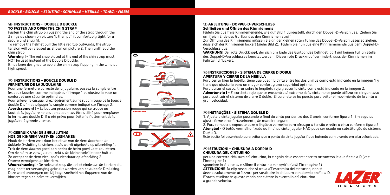#### **UK INSTRUCTIONS - DOUBLE D BUCKLE TO FASTEN AND OPEN THE CHIN STRAP**

Fasten the chin strap by passing the end of the strap through the 2 rings as shown on picture 1, then pull it comfortably tight for a secure and snug fit.

To remove the helmet pull the little red tab outwards, the strap tension will be released as shown on picture 2. Then unthread the chin strap.

**Warning !** – The red snap placed at the end of the chin strap must NOT be used instead of the Double D buckle.

It has been designed to avoid the chin strap flapping in the wind at high speed.

#### **FR INSTRUCTIONS – BOUCLE DOUBLE D FERMETURE DE LA JUGULAIRE**

Pour une fermeture correcte de la jugulaire, passez la sangle entre les deux boucles comme indiqué sur l'image 1 et ajustez la pour un confort et une sécurité optimales.

Pour enlever le casque, tirez légèrement sur le ruban rouge de la boucle double D afin de dégager la sangle comme indiqué sur l'image 2. **Avertissement !** – Le bouton pression rouge qui se trouve au bout de la jugulaire ne peut en aucun cas être utilisé pour remplacer la fermeture double D. Il a été prévu pour éviter le flottement de la jugulaire à grande vitesse.

#### **NL GEBRUIK VAN DE SNELSLUTING HOE DE KINRIEM VAST- EN LOSMAKEN**

Maak de kinriem vast door het einde van de riem doorheen de dubbele D-sluiting te steken, zoals wordt afgebeeld op afbeelding 1. Trek de riem daarna goed aan opdat de helm goed vast zou zitten. Om de helm te verwijderen, trekt u de kleine rode lip naar buiten. Zo ontspant de riem zich, zoals zichtbaar op afbeelding 2. Ontwar vervolgens de kimriem.

**Waarschuwing!** - De rode drukknop die op het einde van de kinriem zit, mag nooit ter vervanging gebruikt worden van de dubbele D-sluiting. Deze werd ontworpen om bij hoge snelheid het flapperen van de kinriem tegen de helm te vermijden.













#### **D ANLEITUNG – DOPPEL-D-VERSCHLUSS Schließen und Öffnen des Kinnriemens**

Fädeln Sie das freie Kinnriemenende, wie auf Bild 1 dargestellt, durch den Doppel-D-Verschluss. Ziehen Sie am freien Ende des Gurtbandes den Kinnriemen straff.

Zur Öffnung des Kinnriemens müssen Sie an der kleinen roten Fahne des Doppel-D-Verschlusses so ziehen, dass sich der Kinnriemen lockert (siehe Bild 2). Fädeln Sie nun das eine Kinnriemenende aus dem Doppel-D-Verschluss aus.

**WARNUNG!** Der rote Druckknopf, der sich am Ende des Gurtbandes befindet, darf auf keinen Fall an Stelle des Doppel-D-Verschlusses benutzt werden. Dieser rote Druckknopf verhindert, dass der Kinnriemen im Fahrtwind flackert.

#### **ES INSTRUCCIONES – SISTEMA DE CIERRE D DOBLE APERTURA Y CIERRE DE LA HEBILLA**

Para cerrar bien la hebilla, tiene que pasar la cinta entre las dos anillas como está indicado en la imagen 1 y tiene que ajustarla para un mayor confort y una seguridad óptima.

Para quitar el casco, tirar sobre la lengüeta roja y sacar la cinta come está indicado en la imagen 2.

**Advertencia !** – El corchete rojo que se encuentra al extremo de la cinta no se puede utilizar en ningun caso para sustituir el sistema de cierre D doble. El corchete se ha puesto para evitar el movimiento de la cinta a .<br>aran velocidad

#### **BR INSTRUÇÕES – SISTEMA DOUBLE D**

1. Ajuste a cinta jugular passando o final da cinta por dentro dos 2 aneis, conforme figura 1. Em seguida ajuste firme e confortavelmente, de maneira segura.

2. Para remover o capacete puxe a lingüeta vermelha para afrouxar a tensão e retire a cinta conforme figura 2. **Atenção!** - O botão vermelho fixado ao final da cinta jugular NÃO pode ser usado na substituição do sistema Duplo D.

Este botão foi desenhado para evitar que a ponta da cinta jugular fique batendo com o vento em alta velocidade.

#### **IN ISTRUZIONI – CHIUSURA A DOPPIA D CHIUSURA DEL CINTURINO**

per una corretta chiusura del cinturino, la cinghia deve essere inserita attraverso le due fibbie a D (vedi l'immagine 1)

sganciare la clip rossa e sfilare il cinturino per aprirlo (vedi l'immagine 2) **ATTENZIONE**: la clip rossa, che si trova all'estremità del cinturino, non si deve assolutamente utilizzare per sostituire la chiusura con doppio anello a D. E'stato studiato in questo modo per evitare lo sventolio del cinturino a grande velocità.

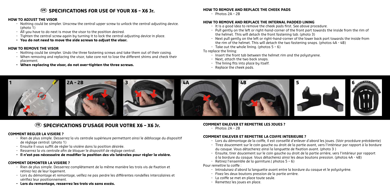## **UK SPECIFICATIONS FOR USE OF YOUR X6 – X6 Jr.**

#### **HOW TO ADJUST THE VISOR**

- Nothing could be simpler. Unscrew the central upper screw to unlock the central adjusting device. (photo 1)
- All you have to do next is move the visor to the position desired.
- Tighten the central screw again by turning it to lock the central adjusting device in place.
- **- You do not need to move the side screws to adjust the visor.**

#### **HOW TO REMOVE THE VISOR**

- Nothing could be simpler. Undo the three fastening screws and take them out of their casing.
- When removing and replacing the visor, take care not to lose the different shims and check their placement.
- **- When replacing the visor, do not over-tighten the three screws.**

#### **HOW TO REMOVE AND REPLACE THE CHEEK PADS**

 $-$  Photos  $2A - 2B$ 

#### **HOW TO REMOVE AND REPLACE THE INTERNAL PADDED LINING**

- It is a good idea to remove the cheek pads first. See above procedure.
- Pull gently on the left or right-hand-corner of the front part towards the inside from the rim of the helmet. This will detach the front fastening tab. (photo 3)
- Next pull gently on the left or right-hand-corner of the lower back part towards the inside from the rim of the helmet. This will detach the two fastening snaps. (photos 4A - 4B)
- Take out the whole lining. (photos 5 6)

#### To replace the lining:

- Insert the front tab between the helmet rim and the polystyrene.
- Next, attach the two back snaps.
- The lining fits into place by itself.
- Replace the cheek pads.



## **FR SPECIFICATIONS D'USAGE POUR VOTRE X6 – X6 Jr.**

#### **COMMENT REGLER LA VISIERE ?**

- Rien de plus simple. Desserrez la vis centrale supérieure permettant ainsi le déblocage du dispositif de réglage central. (photo 1)
- Ensuite il vous suffit de régler la visière dans la position désirée.
- Resserrez la vis centrale afin de bloquer le dispositif de réglage central.
- **- Il n'est pas nécessaire de modifier la position des vis latérales pour régler la visière.**

#### **COMMENT DEMONTER LA VISIERE ?**

- Rien de plus simple. Desserrez complètement de la même manière les trois vis de fixation et retirez-lez de leur logement.
- Lors du démontage et remontage, veillez ne pas perdre les différentes rondelles intercalaires et vérifiez leur positionnement.
- **- Lors du remontage, resserrez les trois vis sans excès.**

#### **COMMENT ENLEVER ET REMETTRE LES JOUES ?**

 $-$  Photos  $2\Delta - 2R$ 

#### **COMMENT ENLEVER ET REMETTRE LA COIFFE INTERIEURE ?**

- Lors du démontage de la coiffe, il est conseillé d'enlever d'abord les joues. (Voir procédure précédente)
- Tirez doucement sur le coin gauche ou droit de la partie avant, vers l'intérieur par rapport à la bordure du casque. Vous détacherez ainsi la languette de fixation avant. (photo 3 )
- Ensuite, tirer doucement sur le coin gauche ou droit de la partie arrière, vers l'intérieur par rapport à la bordure du casque. Vous détacherez ainsi les deux boutons pression. (photos 4A - 4B)
- Retirez l'ensemble de la garniture.( photos 5 6)

Pour remettre la coiffe :

- Introduisez d'abord la languette avant entre la bordure du casque et le polystyrène.
- Fixez les deux boutons pression de la partie arrière.
- La coiffe se met en place toute seule.
- Remettez les joues en place.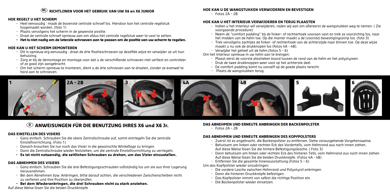## **NL RICHTLIJNEN VOOR HET GEBRUIK VAN UW X6 en X6 JUNIOR**

#### **HOE REGELT U HET SCHERM**

- Heel eenvoudig : maak de bovenste centrale schroef los. Hierdoor kan het centrale regelstuk losgemaakt worden. (foto 1)
- Plaats vervolgens het scherm in de gewenste positie.
- Draai de centrale schroef opnieuw aan om aldus het centrale regelstuk weer te vast te zetten.
- **- Het is niet nodig om de laterale schroeven aan te passen om de positie van uw scherm te regelen.**

### **HOE KAN U HET SCHERM DEMONTEREN**

- Dit is opnieuw erg eenvoudig : draai de drie fixatieschroeven op dezelfde wijze en verwijder ze uit hun behuizing.
- Zorg er bij de demontage en montage voor dat u de verschillende schroeven niet verliest en controleer of ze goed zijn aangebracht.
- Om het scherm opnieuw te monteren, dient u de drie schroeven aan te draaien, zonder ze evenwel te hard aan te schroeven.

#### **HOE KAN U DE WANGSTUKKEN VERWIJDEREN EN BEVESTIGEN**

- Fotos 2A – 2B

#### **HOE KAN U HET INTERIEUR VERWIJDEREN EN TERUG PLAASTEN**

- Indien u het interieur wil verwijderen, raden wij aan om allereerst de wangstukken weg te nemen. ( Zie voorgaande procedure)
- Neem de "comfort padding" bij de linker- of rechterhoek vooraan vast en trek ze voorzichtig los, naar het midden van de helm toe. Op die manier maakt u de (voorste) bevestigingsstrip los. (foto 3)
- Trek vervolgens zachtjes de linker- of rechterhoek van de achterzijde naar binnen toe. Op deze wijze maakt u nu ook de drukknopen los (fotos 4A - 4B).
- Verwijder het geheel uit de helm.(fotos 5 6)

Om het interieur opnieuw in uw helm aan te brengen:

- Plaast eerst de voorste plastieken boord tussen de rand van de helm en het polystyreen.
- Druk de twee drukknoppen weer vast op het achterste deel.
- De comfort padding komt nu vanzelf op de goede plaats terecht.
- Plaats de wangstukken terug.



## **D ANWEISUNGEN FÜR DIE BENUTZUNG IHRES X6 und X6 Jr.**

## **DAS EINSTELLEN DES VISIERS**

- Ganz einfach. Schrauben Sie die obere Zentralschraube auf, somit entriegeln Sie die zentrale Einstellvorrichtung. (Foto 1)
- Danach brauchen Sie nur noch das Visier in die gewünschte Winkellage zu bringen.
- Dann die Zentralschraube wieder festziehen, um die zentrale Einstellvorrichtung zu verriegeln.
- **- Es ist nicht notwendig, die seitlichen Schrauben zu drehen, um das Visier einzustellen.**

## **DAS ABNEHMEN DES VISIERS**

- Ganz einfach. Schrauben Sie die drei Befestigungsschrauben vollständig los um sie aus ihrer Lagerung herausnehmen.
- Bei dem Abnehmen bzw. Anbringen, bitte darauf achten, die verschiedenen Zwischenscheiben nicht zu verlieren und ihre Position zu überprüfen.
- **- Bei dem Wiederanbringen, die drei Schrauben nicht zu stark anziehen.**

Auf diese Weise lösen Sie die beiden Druckknöpfe

#### **DAS ABNEHMEN UND ERNEUTE ANBRINGEN DER BACKENPOLSTER**

 $-$  Fotos  $2\Delta - 2B$ 

## **DAS ABNEHMEN UND ERNEUTE ANBRINGEN DES KOPFPOLSTERS**

- Zuerst ist es angebracht, die Backenpolster zu entfernen. Siehe vorausgehende Vorgehensweise.
- Behutsam am linken oder rechten Eck des Vorderteils, vom Helmrand aus nach innen ziehen. Auf diese Weise lösen Sie die hintere Befestigungslasche. ( Foto 3)
- Dann behutsam am linken oder rechten Eck des hinteren Teils, vom Helmrand aus nach innen ziehen. Auf diese Weise lösen Sie die beiden Druckknöpfe. (Fotos 4A - 4B)
- Entfernen Sie die gesamte Innenausstattung.(Fotos 5 6)

#### Um das Kopfpolster wieder anzubringen:

- Die vordere Lasche zwischen Helmrand und Polystyrol anbringen.
- Dann die hinteren Druckknöpfe befestigen.
- Das Kopfpolster nimmt von selbst die richtige Position ein.
- Die Backenpolster wieder einsetzen.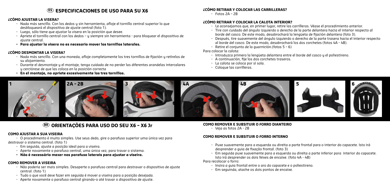## **ES ESPECIFICACIONES DE USO PARA SU X6**

#### **¿CÓMO AJUSTAR LA VISERA?**

- Nada más sencillo. Con los dedos y sin herramienta, afloje el tornillo central superior lo que desbloqueará el dispositivo de ajuste central (foto 1).
- Luego, sólo tiene que ajustar la visera en la posición que desee.
- Apriete el tornillo central con los dedos y siempre sin herramienta para bloquear el dispositivo de ajuste central.
- **- Para ajustar la visera no es necesario mover los tornillos laterales.**

#### **¿CÓMO DESMONTAR LA VISERA?**

- Nada más sencillo. Con una moneda, afloje completamente los tres tornillos de fijación y retírelos de su alojamiento.
- Durante el desmontaje y el montaje, tenga cuidado de no perder las diferentes arandelas intercalares y cerciórese de que las coloca en la posición correcta
- **- En el montaje, no apriete excesivamente los tres tornillos.**

#### **¿CÓMO RETIRAR Y COLOCAR LAS CARRILLERAS?**

- Fotos 2A – 2B

#### **¿CÓMO RETIRAR Y COLOCAR LA CALOTA INTERIOR?**

- Le aconsejamos que, en primer lugar, retire las carrilleras. Véase el procedimiento anterior.
- Tire con cuidado del ángulo izquierdo o derecho de la parte delantera hacia el interior respecto al borde del casco. De este modo, desabrochará la lengüeta de fijación delantera (foto 3).
- Después, tire suavemente del ángulo izquierdo o derecho de la parte trasera hacia el interior respecto al borde del casco. De este modo, desabrochará los dos corchetes (fotos 4A - 4B).
- Retire el conjunto de la guarnición.(fotos 5 6)

#### Para colocar la calota:

- Introduzca primero la lengüeta delantera entre el borde del casco y el poliestireno.
- A continuación, fije los dos corchetes traseros.
- La calota se coloca por sí sola.
- Coloque las carrilleras.



## **BR ORIENTAÇÕES PARA USO DO SEU X6 – X6 Jr**

#### **COMO AJUSTAR A SUA VISEIRA**

- O procedimento é muito simples. Use seus dedo, gire o parafuso superior uma única vez para destravar o sistema central. (foto 1)

- Em seguida, ajuste a posição ideal para a viseira.
- Aperte novamente o parafuso central, uma única vez, para travar o sistema.
- **Não é necessário mexer nos parafuso laterais para ajustar a viseira.**

#### **COMO REMOVER A VISEIRA**

- Não poderia ser mais simples. Desaperte o parafuso central para destravar o dispositivo de ajuste central. (foto 1)
- Tudo o que você deve fazer em seguida é mover a viseira para a posição desejada.
- Aperte novamente o parafuso central girando-o até travar o dispositivo de ajuste.

#### **COMO REMOVER E SUBSITUIR O FORRO DIANTEIRO**

- Veja as fotos 2A - 2B

### **COMO REMOVER E SUBSITUIR O FORRO INTERNO**

- *-* Puxe suavemente para a esquerda ou direita a parte frontal para o interior do capacete. Isto irá desprender a guia de fixação frontal. (foto 3)
- Em seguida puxe suavemente para a esquerda ou direita a parte inferior para interior do capacete. Isto irá desprender os dois feixes de encaixe. (foto 4A - 4B)

Para recolocar o forro:

- Insira a guia frontal entre o aro do capacete e o poliestireno.
- Em seguinda, atache os dois pontos de encaixe.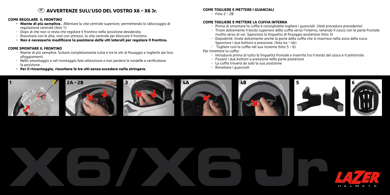## **IT AVVERTENZE SULL'USO DEL VOSTRO X6 – X6 Jr.**

#### **COME REGOLARE IL FRONTINO**

- **- Niente di più semplice.** Allentare la vite centrale superiore, permettendo lo sbloccaggio di regolazione centrale (foto 1)
- Dopo di che non vi resta che regolare il frontino nella posizione desiderata.
- Riavvitare con le dita, mai con attrezzi, la vite centrale per bloccare il frontino.
- **- Non è necessario modificare la posizione delle viti laterali per regolare il frontino.**

#### **COME SMONTARE IL FRONTINO**

- Niente di più semplice. Svitare completamente tutte e tre le viti di fissaggio e toglierle dai loro alloggiamenti.
- Nello smontaggio e nel montaggio fate attenzione a non perdere le rondelle e verificatene la posizione.
- **- Per il rimontaggio, riavvitare le tre viti senza eccedere nello stringere.**

#### **COME TOGLIERE E METTERE I GUANCIALI**

 $-$  Foto  $2 - 2R$ 

#### **COME TOGLIERE E METTERE LA CUFFIA INTERNA**

- Prima di smontare la cuffia è consigliabile togliere i guanciali. (Vedi procedura precedente)
- Tirare dolcemente il bordo superiore della cuffia verso l'interno, tenendo il casco con la parte frontale rivolta verso di voi. Sganciare la linguetta di fissaggio posteriore (foto 3)
- Dopodiché, tirate dolcemente anche la parte della cuffia che si inserisce nella zona della nuca. Sganciare i due bottoni a pressione. (foto 4a – 4b)
- Togliere così la cuffia nel suo insieme (foto 5 6)

#### Per rimettere la cuffia:

- Introdurre prima di tutto la linguetta frontale e inserirla tra il bordo del casco e il polistirolo.
- Fissare i due bottoni a pressione nella parte posteriore
- La cuffia troverà da sola la sua posizione
- Rimettere i guanciali.